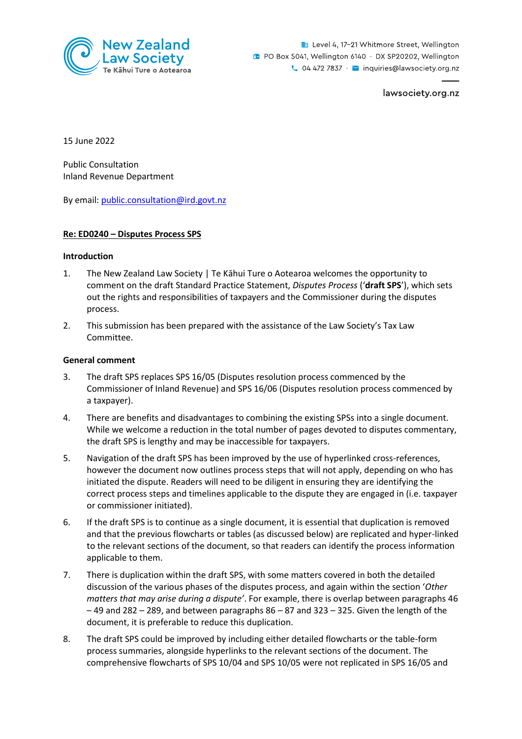

Level 4, 17-21 Whitmore Street, Wellington **B** PO Box 5041, Wellington 6140 · DX SP20202, Wellington  $\sim$  04 472 7837  $\cdot$   $\sim$  inquiries@lawsociety.org.nz

lawsociety.org.nz

15 June 2022

Public Consultation Inland Revenue Department

By email: [public.consultation@ird.govt.nz](mailto:public.consultation@ird.govt.nz)

### **Re: ED0240 – Disputes Process SPS**

### **Introduction**

- 1. The New Zealand Law Society | Te Kāhui Ture o Aotearoa welcomes the opportunity to comment on the draft Standard Practice Statement, *Disputes Process* ('**draft SPS**'), which sets out the rights and responsibilities of taxpayers and the Commissioner during the disputes process.
- 2. This submission has been prepared with the assistance of the Law Society's Tax Law Committee.

### **General comment**

- 3. The draft SPS replaces SPS 16/05 (Disputes resolution process commenced by the Commissioner of Inland Revenue) and SPS 16/06 (Disputes resolution process commenced by a taxpayer).
- 4. There are benefits and disadvantages to combining the existing SPSs into a single document. While we welcome a reduction in the total number of pages devoted to disputes commentary, the draft SPS is lengthy and may be inaccessible for taxpayers.
- 5. Navigation of the draft SPS has been improved by the use of hyperlinked cross-references, however the document now outlines process steps that will not apply, depending on who has initiated the dispute. Readers will need to be diligent in ensuring they are identifying the correct process steps and timelines applicable to the dispute they are engaged in (i.e. taxpayer or commissioner initiated).
- 6. If the draft SPS is to continue as a single document, it is essential that duplication is removed and that the previous flowcharts or tables (as discussed below) are replicated and hyper-linked to the relevant sections of the document, so that readers can identify the process information applicable to them.
- 7. There is duplication within the draft SPS, with some matters covered in both the detailed discussion of the various phases of the disputes process, and again within the section '*Other matters that may arise during a dispute'*. For example, there is overlap between paragraphs 46  $-49$  and 282 – 289, and between paragraphs  $86 - 87$  and 323 – 325. Given the length of the document, it is preferable to reduce this duplication.
- 8. The draft SPS could be improved by including either detailed flowcharts or the table-form process summaries, alongside hyperlinks to the relevant sections of the document. The comprehensive flowcharts of SPS 10/04 and SPS 10/05 were not replicated in SPS 16/05 and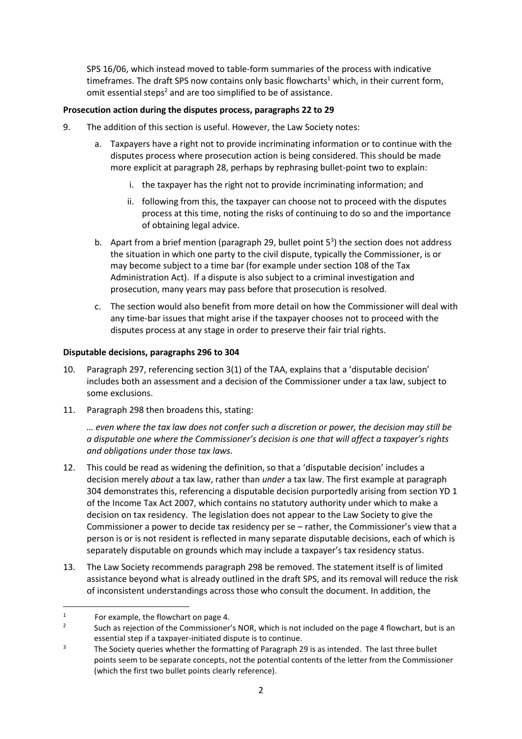SPS 16/06, which instead moved to table-form summaries of the process with indicative timeframes. The draft SPS now contains only basic flowcharts<sup>1</sup> which, in their current form, omit essential steps<sup>2</sup> and are too simplified to be of assistance.

# **Prosecution action during the disputes process, paragraphs 22 to 29**

- 9. The addition of this section is useful. However, the Law Society notes:
	- a. Taxpayers have a right not to provide incriminating information or to continue with the disputes process where prosecution action is being considered. This should be made more explicit at paragraph 28, perhaps by rephrasing bullet-point two to explain:
		- i. the taxpayer has the right not to provide incriminating information; and
		- ii. following from this, the taxpayer can choose not to proceed with the disputes process at this time, noting the risks of continuing to do so and the importance of obtaining legal advice.
	- b. Apart from a brief mention (paragraph 29, bullet point  $5<sup>3</sup>$ ) the section does not address the situation in which one party to the civil dispute, typically the Commissioner, is or may become subject to a time bar (for example under section 108 of the Tax Administration Act). If a dispute is also subject to a criminal investigation and prosecution, many years may pass before that prosecution is resolved.
	- c. The section would also benefit from more detail on how the Commissioner will deal with any time-bar issues that might arise if the taxpayer chooses not to proceed with the disputes process at any stage in order to preserve their fair trial rights.

## **Disputable decisions, paragraphs 296 to 304**

- 10. Paragraph 297, referencing section 3(1) of the TAA, explains that a 'disputable decision' includes both an assessment and a decision of the Commissioner under a tax law, subject to some exclusions.
- 11. Paragraph 298 then broadens this, stating:

*… even where the tax law does not confer such a discretion or power, the decision may still be a disputable one where the Commissioner's decision is one that will affect a taxpayer's rights and obligations under those tax laws.*

- 12. This could be read as widening the definition, so that a 'disputable decision' includes a decision merely *about* a tax law, rather than *under* a tax law. The first example at paragraph 304 demonstrates this, referencing a disputable decision purportedly arising from section YD 1 of the Income Tax Act 2007, which contains no statutory authority under which to make a decision on tax residency. The legislation does not appear to the Law Society to give the Commissioner a power to decide tax residency per se – rather, the Commissioner's view that a person is or is not resident is reflected in many separate disputable decisions, each of which is separately disputable on grounds which may include a taxpayer's tax residency status.
- 13. The Law Society recommends paragraph 298 be removed. The statement itself is of limited assistance beyond what is already outlined in the draft SPS, and its removal will reduce the risk of inconsistent understandings across those who consult the document. In addition, the

<sup>1</sup> For example, the flowchart on page 4.

<sup>2</sup> Such as rejection of the Commissioner's NOR, which is not included on the page 4 flowchart, but is an essential step if a taxpayer-initiated dispute is to continue.

<sup>&</sup>lt;sup>3</sup> The Society queries whether the formatting of Paragraph 29 is as intended. The last three bullet points seem to be separate concepts, not the potential contents of the letter from the Commissioner (which the first two bullet points clearly reference).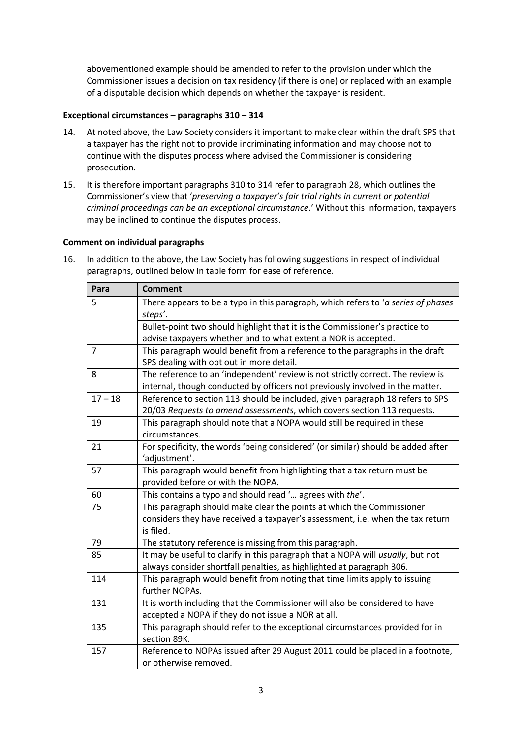abovementioned example should be amended to refer to the provision under which the Commissioner issues a decision on tax residency (if there is one) or replaced with an example of a disputable decision which depends on whether the taxpayer is resident.

### **Exceptional circumstances – paragraphs 310 – 314**

- 14. At noted above, the Law Society considers it important to make clear within the draft SPS that a taxpayer has the right not to provide incriminating information and may choose not to continue with the disputes process where advised the Commissioner is considering prosecution.
- 15. It is therefore important paragraphs 310 to 314 refer to paragraph 28, which outlines the Commissioner's view that '*preserving a taxpayer's fair trial rights in current or potential criminal proceedings can be an exceptional circumstance*.' Without this information, taxpayers may be inclined to continue the disputes process.

### **Comment on individual paragraphs**

16. In addition to the above, the Law Society has following suggestions in respect of individual paragraphs, outlined below in table form for ease of reference.

| Para           | <b>Comment</b>                                                                                                                                                   |
|----------------|------------------------------------------------------------------------------------------------------------------------------------------------------------------|
| 5              | There appears to be a typo in this paragraph, which refers to 'a series of phases<br>steps'.                                                                     |
|                | Bullet-point two should highlight that it is the Commissioner's practice to<br>advise taxpayers whether and to what extent a NOR is accepted.                    |
| $\overline{7}$ | This paragraph would benefit from a reference to the paragraphs in the draft<br>SPS dealing with opt out in more detail.                                         |
| 8              | The reference to an 'independent' review is not strictly correct. The review is<br>internal, though conducted by officers not previously involved in the matter. |
| $17 - 18$      | Reference to section 113 should be included, given paragraph 18 refers to SPS<br>20/03 Requests to amend assessments, which covers section 113 requests.         |
| 19             | This paragraph should note that a NOPA would still be required in these<br>circumstances.                                                                        |
| 21             | For specificity, the words 'being considered' (or similar) should be added after<br>'adjustment'.                                                                |
| 57             | This paragraph would benefit from highlighting that a tax return must be<br>provided before or with the NOPA.                                                    |
| 60             | This contains a typo and should read ' agrees with the'.                                                                                                         |
| 75             | This paragraph should make clear the points at which the Commissioner                                                                                            |
|                | considers they have received a taxpayer's assessment, i.e. when the tax return<br>is filed.                                                                      |
| 79             | The statutory reference is missing from this paragraph.                                                                                                          |
| 85             | It may be useful to clarify in this paragraph that a NOPA will usually, but not<br>always consider shortfall penalties, as highlighted at paragraph 306.         |
| 114            | This paragraph would benefit from noting that time limits apply to issuing<br>further NOPAs.                                                                     |
| 131            | It is worth including that the Commissioner will also be considered to have<br>accepted a NOPA if they do not issue a NOR at all.                                |
| 135            | This paragraph should refer to the exceptional circumstances provided for in<br>section 89K.                                                                     |
| 157            | Reference to NOPAs issued after 29 August 2011 could be placed in a footnote,<br>or otherwise removed.                                                           |